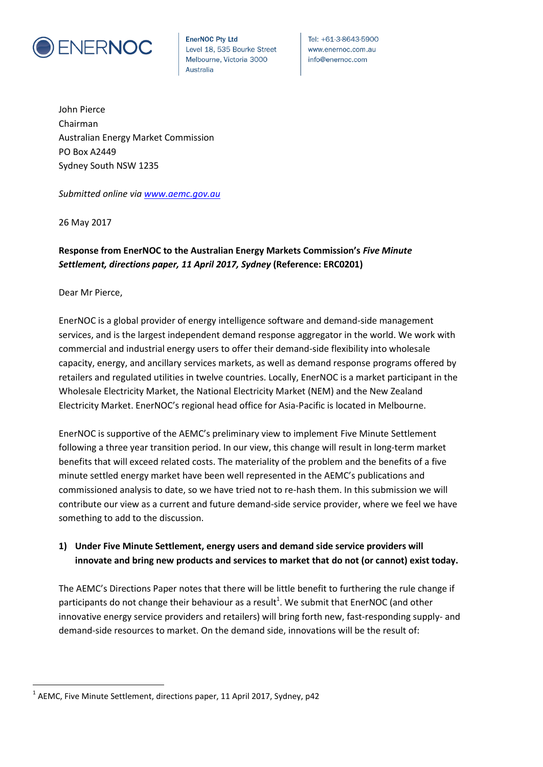

**EnerNOC Pty Ltd** Level 18, 535 Bourke Street Melbourne, Victoria 3000 **Australia** 

Tel: +61-3-8643-5900 www.enernoc.com.au info@enernoc.com

John Pierce Chairman Australian Energy Market Commission PO Box A2449 Sydney South NSW 1235

*Submitted online via [www.aemc.gov.au](http://www.aemc.gov.au/)*

26 May 2017

# **Response from EnerNOC to the Australian Energy Markets Commission's** *Five Minute Settlement, directions paper, 11 April 2017, Sydney* **(Reference: ERC0201)**

Dear Mr Pierce,

 $\overline{a}$ 

EnerNOC is a global provider of energy intelligence software and demand-side management services, and is the largest independent demand response aggregator in the world. We work with commercial and industrial energy users to offer their demand-side flexibility into wholesale capacity, energy, and ancillary services markets, as well as demand response programs offered by retailers and regulated utilities in twelve countries. Locally, EnerNOC is a market participant in the Wholesale Electricity Market, the National Electricity Market (NEM) and the New Zealand Electricity Market. EnerNOC's regional head office for Asia-Pacific is located in Melbourne.

EnerNOC is supportive of the AEMC's preliminary view to implement Five Minute Settlement following a three year transition period. In our view, this change will result in long-term market benefits that will exceed related costs. The materiality of the problem and the benefits of a five minute settled energy market have been well represented in the AEMC's publications and commissioned analysis to date, so we have tried not to re-hash them. In this submission we will contribute our view as a current and future demand-side service provider, where we feel we have something to add to the discussion.

## **1) Under Five Minute Settlement, energy users and demand side service providers will innovate and bring new products and services to market that do not (or cannot) exist today.**

The AEMC's Directions Paper notes that there will be little benefit to furthering the rule change if participants do not change their behaviour as a result<sup>1</sup>. We submit that EnerNOC (and other innovative energy service providers and retailers) will bring forth new, fast-responding supply- and demand-side resources to market. On the demand side, innovations will be the result of:

 $^1$  AEMC, Five Minute Settlement, directions paper, 11 April 2017, Sydney, p42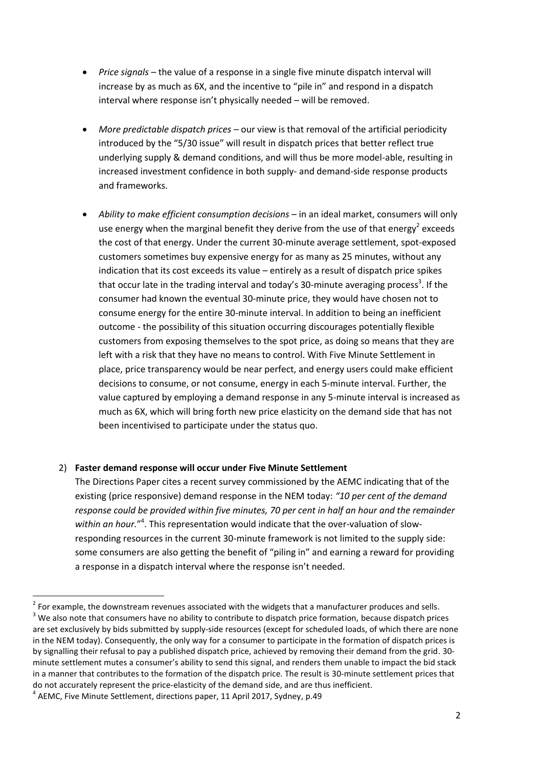- *Price signals* the value of a response in a single five minute dispatch interval will increase by as much as 6X, and the incentive to "pile in" and respond in a dispatch interval where response isn't physically needed – will be removed.
- *More predictable dispatch prices* our view is that removal of the artificial periodicity introduced by the "5/30 issue" will result in dispatch prices that better reflect true underlying supply & demand conditions, and will thus be more model-able, resulting in increased investment confidence in both supply- and demand-side response products and frameworks.
- *Ability to make efficient consumption decisions* in an ideal market, consumers will only use energy when the marginal benefit they derive from the use of that energy<sup>2</sup> exceeds the cost of that energy. Under the current 30-minute average settlement, spot-exposed customers sometimes buy expensive energy for as many as 25 minutes, without any indication that its cost exceeds its value – entirely as a result of dispatch price spikes that occur late in the trading interval and today's 30-minute averaging process<sup>3</sup>. If the consumer had known the eventual 30-minute price, they would have chosen not to consume energy for the entire 30-minute interval. In addition to being an inefficient outcome - the possibility of this situation occurring discourages potentially flexible customers from exposing themselves to the spot price, as doing so means that they are left with a risk that they have no means to control. With Five Minute Settlement in place, price transparency would be near perfect, and energy users could make efficient decisions to consume, or not consume, energy in each 5-minute interval. Further, the value captured by employing a demand response in any 5-minute interval is increased as much as 6X, which will bring forth new price elasticity on the demand side that has not been incentivised to participate under the status quo.

### 2) **Faster demand response will occur under Five Minute Settlement**

The Directions Paper cites a recent survey commissioned by the AEMC indicating that of the existing (price responsive) demand response in the NEM today: *"10 per cent of the demand response could be provided within five minutes, 70 per cent in half an hour and the remainder*  within an hour."<sup>4</sup>. This representation would indicate that the over-valuation of slowresponding resources in the current 30-minute framework is not limited to the supply side: some consumers are also getting the benefit of "piling in" and earning a reward for providing a response in a dispatch interval where the response isn't needed.

 $^{2}$  For example, the downstream revenues associated with the widgets that a manufacturer produces and sells. <sup>3</sup> We also note that consumers have no ability to contribute to dispatch price formation, because dispatch prices are set exclusively by bids submitted by supply-side resources (except for scheduled loads, of which there are none in the NEM today). Consequently, the only way for a consumer to participate in the formation of dispatch prices is by signalling their refusal to pay a published dispatch price, achieved by removing their demand from the grid. 30 minute settlement mutes a consumer's ability to send this signal, and renders them unable to impact the bid stack in a manner that contributes to the formation of the dispatch price. The result is 30-minute settlement prices that do not accurately represent the price-elasticity of the demand side, and are thus inefficient.

<sup>&</sup>lt;sup>4</sup> AEMC, Five Minute Settlement, directions paper, 11 April 2017, Sydney, p.49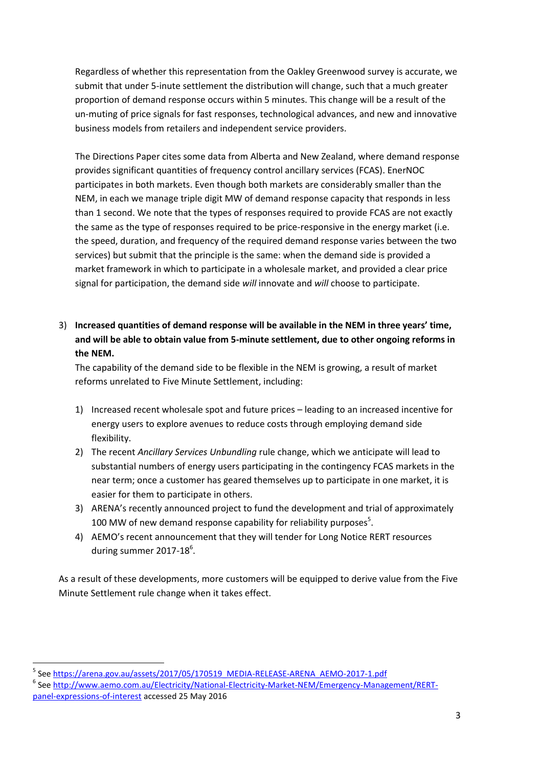Regardless of whether this representation from the Oakley Greenwood survey is accurate, we submit that under 5-inute settlement the distribution will change, such that a much greater proportion of demand response occurs within 5 minutes. This change will be a result of the un-muting of price signals for fast responses, technological advances, and new and innovative business models from retailers and independent service providers.

The Directions Paper cites some data from Alberta and New Zealand, where demand response provides significant quantities of frequency control ancillary services (FCAS). EnerNOC participates in both markets. Even though both markets are considerably smaller than the NEM, in each we manage triple digit MW of demand response capacity that responds in less than 1 second. We note that the types of responses required to provide FCAS are not exactly the same as the type of responses required to be price-responsive in the energy market (i.e. the speed, duration, and frequency of the required demand response varies between the two services) but submit that the principle is the same: when the demand side is provided a market framework in which to participate in a wholesale market, and provided a clear price signal for participation, the demand side *will* innovate and *will* choose to participate.

3) **Increased quantities of demand response will be available in the NEM in three years' time, and will be able to obtain value from 5-minute settlement, due to other ongoing reforms in the NEM.**

The capability of the demand side to be flexible in the NEM is growing, a result of market reforms unrelated to Five Minute Settlement, including:

- 1) Increased recent wholesale spot and future prices leading to an increased incentive for energy users to explore avenues to reduce costs through employing demand side flexibility.
- 2) The recent *Ancillary Services Unbundling* rule change, which we anticipate will lead to substantial numbers of energy users participating in the contingency FCAS markets in the near term; once a customer has geared themselves up to participate in one market, it is easier for them to participate in others.
- 3) ARENA's recently announced project to fund the development and trial of approximately 100 MW of new demand response capability for reliability purposes<sup>5</sup>.
- 4) AEMO's recent announcement that they will tender for Long Notice RERT resources during summer 2017-18 $^{6}$ .

As a result of these developments, more customers will be equipped to derive value from the Five Minute Settlement rule change when it takes effect.

<sup>5</sup> See [https://arena.gov.au/assets/2017/05/170519\\_MEDIA-RELEASE-ARENA\\_AEMO-2017-1.pdf](https://arena.gov.au/assets/2017/05/170519_MEDIA-RELEASE-ARENA_AEMO-2017-1.pdf)

<sup>&</sup>lt;sup>6</sup> See <u>http://www.aemo.com.au/Electricity/National-Electricity-Market-NEM/Emergency-Management/RERT-</u> [panel-expressions-of-interest](http://www.aemo.com.au/Electricity/National-Electricity-Market-NEM/Emergency-Management/RERT-panel-expressions-of-interest) accessed 25 May 2016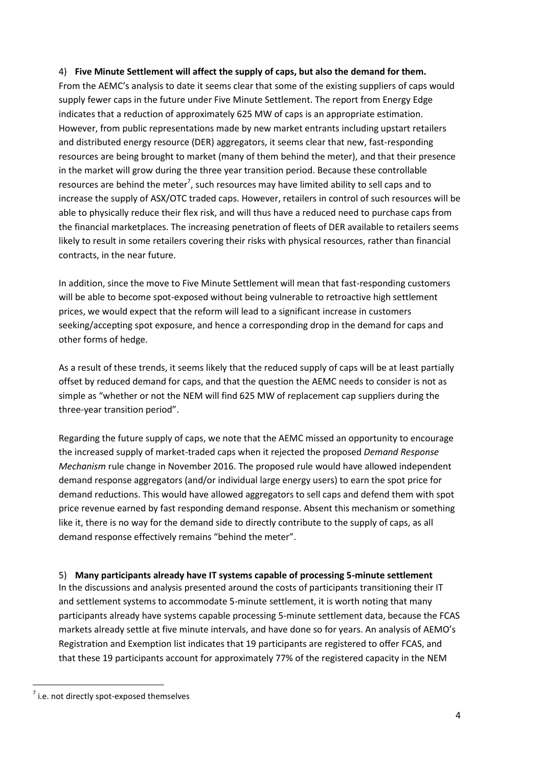#### 4) **Five Minute Settlement will affect the supply of caps, but also the demand for them.**

From the AEMC's analysis to date it seems clear that some of the existing suppliers of caps would supply fewer caps in the future under Five Minute Settlement. The report from Energy Edge indicates that a reduction of approximately 625 MW of caps is an appropriate estimation. However, from public representations made by new market entrants including upstart retailers and distributed energy resource (DER) aggregators, it seems clear that new, fast-responding resources are being brought to market (many of them behind the meter), and that their presence in the market will grow during the three year transition period. Because these controllable resources are behind the meter<sup>7</sup>, such resources may have limited ability to sell caps and to increase the supply of ASX/OTC traded caps. However, retailers in control of such resources will be able to physically reduce their flex risk, and will thus have a reduced need to purchase caps from the financial marketplaces. The increasing penetration of fleets of DER available to retailers seems likely to result in some retailers covering their risks with physical resources, rather than financial contracts, in the near future.

In addition, since the move to Five Minute Settlement will mean that fast-responding customers will be able to become spot-exposed without being vulnerable to retroactive high settlement prices, we would expect that the reform will lead to a significant increase in customers seeking/accepting spot exposure, and hence a corresponding drop in the demand for caps and other forms of hedge.

As a result of these trends, it seems likely that the reduced supply of caps will be at least partially offset by reduced demand for caps, and that the question the AEMC needs to consider is not as simple as "whether or not the NEM will find 625 MW of replacement cap suppliers during the three-year transition period".

Regarding the future supply of caps, we note that the AEMC missed an opportunity to encourage the increased supply of market-traded caps when it rejected the proposed *Demand Response Mechanism* rule change in November 2016. The proposed rule would have allowed independent demand response aggregators (and/or individual large energy users) to earn the spot price for demand reductions. This would have allowed aggregators to sell caps and defend them with spot price revenue earned by fast responding demand response. Absent this mechanism or something like it, there is no way for the demand side to directly contribute to the supply of caps, as all demand response effectively remains "behind the meter".

### 5) **Many participants already have IT systems capable of processing 5-minute settlement**

In the discussions and analysis presented around the costs of participants transitioning their IT and settlement systems to accommodate 5-minute settlement, it is worth noting that many participants already have systems capable processing 5-minute settlement data, because the FCAS markets already settle at five minute intervals, and have done so for years. An analysis of AEMO's Registration and Exemption list indicates that 19 participants are registered to offer FCAS, and that these 19 participants account for approximately 77% of the registered capacity in the NEM

 $^7$  i.e. not directly spot-exposed themselves